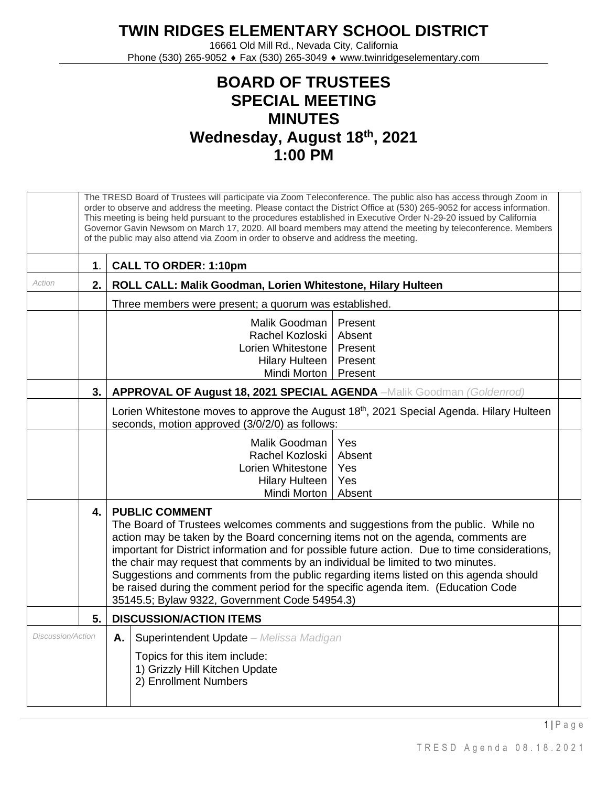## **TWIN RIDGES ELEMENTARY SCHOOL DISTRICT**

16661 Old Mill Rd., Nevada City, California Phone (530) 265-9052 ♦ Fax (530) 265-3049 ♦ www.twinridgeselementary.com

## **BOARD OF TRUSTEES SPECIAL MEETING MINUTES Wednesday, August 18 th, 2021 1:00 PM**

|                   | The TRESD Board of Trustees will participate via Zoom Teleconference. The public also has access through Zoom in<br>order to observe and address the meeting. Please contact the District Office at (530) 265-9052 for access information.<br>This meeting is being held pursuant to the procedures established in Executive Order N-29-20 issued by California<br>Governor Gavin Newsom on March 17, 2020. All board members may attend the meeting by teleconference. Members<br>of the public may also attend via Zoom in order to observe and address the meeting.                                                    |                                                                                                                                                      |  |  |  |  |
|-------------------|---------------------------------------------------------------------------------------------------------------------------------------------------------------------------------------------------------------------------------------------------------------------------------------------------------------------------------------------------------------------------------------------------------------------------------------------------------------------------------------------------------------------------------------------------------------------------------------------------------------------------|------------------------------------------------------------------------------------------------------------------------------------------------------|--|--|--|--|
|                   | $\mathbf 1$ .                                                                                                                                                                                                                                                                                                                                                                                                                                                                                                                                                                                                             | <b>CALL TO ORDER: 1:10pm</b>                                                                                                                         |  |  |  |  |
| Action            | 2.                                                                                                                                                                                                                                                                                                                                                                                                                                                                                                                                                                                                                        | ROLL CALL: Malik Goodman, Lorien Whitestone, Hilary Hulteen                                                                                          |  |  |  |  |
|                   |                                                                                                                                                                                                                                                                                                                                                                                                                                                                                                                                                                                                                           | Three members were present; a quorum was established.                                                                                                |  |  |  |  |
|                   |                                                                                                                                                                                                                                                                                                                                                                                                                                                                                                                                                                                                                           | Malik Goodman<br>Present<br>Rachel Kozloski<br>Absent<br>Present<br>Lorien Whitestone<br>Present<br><b>Hilary Hulteen</b><br>Mindi Morton<br>Present |  |  |  |  |
|                   | 3.                                                                                                                                                                                                                                                                                                                                                                                                                                                                                                                                                                                                                        | APPROVAL OF August 18, 2021 SPECIAL AGENDA -Malik Goodman (Goldenrod)                                                                                |  |  |  |  |
|                   |                                                                                                                                                                                                                                                                                                                                                                                                                                                                                                                                                                                                                           | Lorien Whitestone moves to approve the August 18th, 2021 Special Agenda. Hilary Hulteen<br>seconds, motion approved (3/0/2/0) as follows:            |  |  |  |  |
|                   |                                                                                                                                                                                                                                                                                                                                                                                                                                                                                                                                                                                                                           | Malik Goodman<br>Yes<br>Rachel Kozloski<br>Absent<br>Lorien Whitestone<br>Yes<br>Yes<br><b>Hilary Hulteen</b><br>Mindi Morton<br>Absent              |  |  |  |  |
|                   | <b>PUBLIC COMMENT</b><br>4.<br>The Board of Trustees welcomes comments and suggestions from the public. While no<br>action may be taken by the Board concerning items not on the agenda, comments are<br>important for District information and for possible future action. Due to time considerations,<br>the chair may request that comments by an individual be limited to two minutes.<br>Suggestions and comments from the public regarding items listed on this agenda should<br>be raised during the comment period for the specific agenda item. (Education Code<br>35145.5; Bylaw 9322, Government Code 54954.3) |                                                                                                                                                      |  |  |  |  |
|                   | 5.                                                                                                                                                                                                                                                                                                                                                                                                                                                                                                                                                                                                                        | <b>DISCUSSION/ACTION ITEMS</b>                                                                                                                       |  |  |  |  |
| Discussion/Action |                                                                                                                                                                                                                                                                                                                                                                                                                                                                                                                                                                                                                           | Superintendent Update - Melissa Madigan<br>Α.<br>Topics for this item include:<br>1) Grizzly Hill Kitchen Update<br>2) Enrollment Numbers            |  |  |  |  |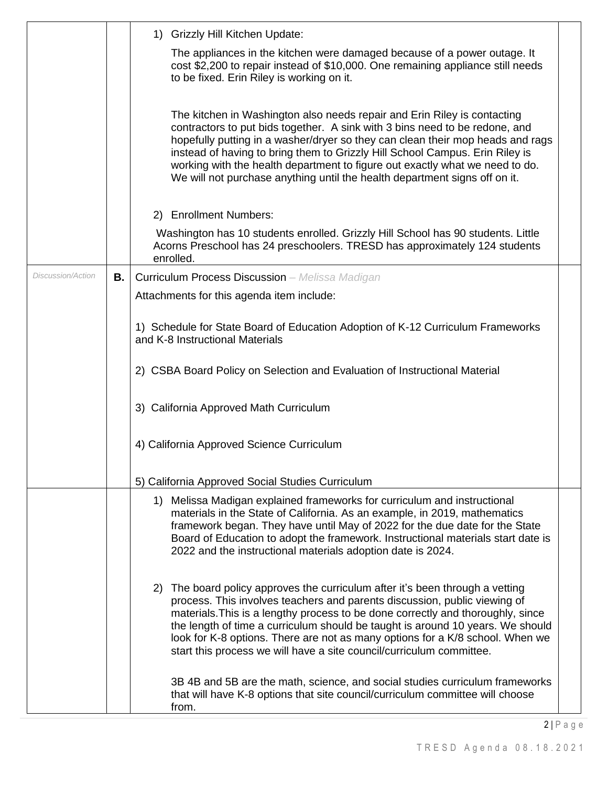|                   |           | 1) Grizzly Hill Kitchen Update:                                                                                                                                                                                                                                                                                                                                                                                                                                                          |  |
|-------------------|-----------|------------------------------------------------------------------------------------------------------------------------------------------------------------------------------------------------------------------------------------------------------------------------------------------------------------------------------------------------------------------------------------------------------------------------------------------------------------------------------------------|--|
|                   |           | The appliances in the kitchen were damaged because of a power outage. It<br>cost \$2,200 to repair instead of \$10,000. One remaining appliance still needs<br>to be fixed. Erin Riley is working on it.                                                                                                                                                                                                                                                                                 |  |
|                   |           | The kitchen in Washington also needs repair and Erin Riley is contacting<br>contractors to put bids together. A sink with 3 bins need to be redone, and<br>hopefully putting in a washer/dryer so they can clean their mop heads and rags<br>instead of having to bring them to Grizzly Hill School Campus. Erin Riley is<br>working with the health department to figure out exactly what we need to do.<br>We will not purchase anything until the health department signs off on it.  |  |
|                   |           | 2) Enrollment Numbers:                                                                                                                                                                                                                                                                                                                                                                                                                                                                   |  |
|                   |           | Washington has 10 students enrolled. Grizzly Hill School has 90 students. Little<br>Acorns Preschool has 24 preschoolers. TRESD has approximately 124 students<br>enrolled.                                                                                                                                                                                                                                                                                                              |  |
| Discussion/Action | <b>B.</b> | <b>Curriculum Process Discussion</b> - Melissa Madigan                                                                                                                                                                                                                                                                                                                                                                                                                                   |  |
|                   |           | Attachments for this agenda item include:                                                                                                                                                                                                                                                                                                                                                                                                                                                |  |
|                   |           | 1) Schedule for State Board of Education Adoption of K-12 Curriculum Frameworks<br>and K-8 Instructional Materials                                                                                                                                                                                                                                                                                                                                                                       |  |
|                   |           | 2) CSBA Board Policy on Selection and Evaluation of Instructional Material                                                                                                                                                                                                                                                                                                                                                                                                               |  |
|                   |           | 3) California Approved Math Curriculum                                                                                                                                                                                                                                                                                                                                                                                                                                                   |  |
|                   |           | 4) California Approved Science Curriculum                                                                                                                                                                                                                                                                                                                                                                                                                                                |  |
|                   |           | 5) California Approved Social Studies Curriculum                                                                                                                                                                                                                                                                                                                                                                                                                                         |  |
|                   |           | 1) Melissa Madigan explained frameworks for curriculum and instructional<br>materials in the State of California. As an example, in 2019, mathematics<br>framework began. They have until May of 2022 for the due date for the State<br>Board of Education to adopt the framework. Instructional materials start date is<br>2022 and the instructional materials adoption date is 2024.                                                                                                  |  |
|                   |           | 2) The board policy approves the curriculum after it's been through a vetting<br>process. This involves teachers and parents discussion, public viewing of<br>materials. This is a lengthy process to be done correctly and thoroughly, since<br>the length of time a curriculum should be taught is around 10 years. We should<br>look for K-8 options. There are not as many options for a K/8 school. When we<br>start this process we will have a site council/curriculum committee. |  |
|                   |           | 3B 4B and 5B are the math, science, and social studies curriculum frameworks<br>that will have K-8 options that site council/curriculum committee will choose<br>from.                                                                                                                                                                                                                                                                                                                   |  |
|                   |           | $2 P \text{age}$                                                                                                                                                                                                                                                                                                                                                                                                                                                                         |  |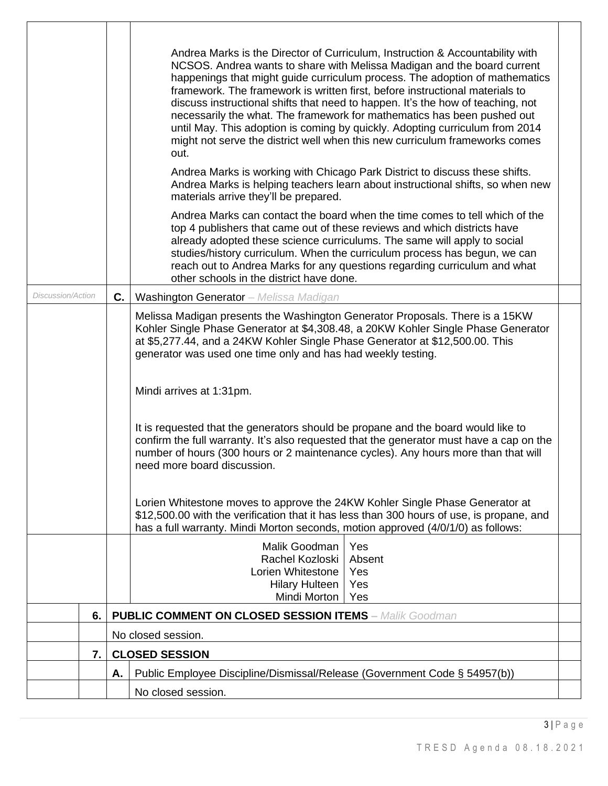| <b>Discussion/Action</b> | C. | Andrea Marks is the Director of Curriculum, Instruction & Accountability with<br>NCSOS. Andrea wants to share with Melissa Madigan and the board current<br>happenings that might guide curriculum process. The adoption of mathematics<br>framework. The framework is written first, before instructional materials to<br>discuss instructional shifts that need to happen. It's the how of teaching, not<br>necessarily the what. The framework for mathematics has been pushed out<br>until May. This adoption is coming by quickly. Adopting curriculum from 2014<br>might not serve the district well when this new curriculum frameworks comes<br>out.<br>Andrea Marks is working with Chicago Park District to discuss these shifts.<br>Andrea Marks is helping teachers learn about instructional shifts, so when new<br>materials arrive they'll be prepared.<br>Andrea Marks can contact the board when the time comes to tell which of the<br>top 4 publishers that came out of these reviews and which districts have<br>already adopted these science curriculums. The same will apply to social<br>studies/history curriculum. When the curriculum process has begun, we can<br>reach out to Andrea Marks for any questions regarding curriculum and what<br>other schools in the district have done.<br><b>Washington Generator</b> - Melissa Madigan<br>Melissa Madigan presents the Washington Generator Proposals. There is a 15KW<br>Kohler Single Phase Generator at \$4,308.48, a 20KW Kohler Single Phase Generator<br>at \$5,277.44, and a 24KW Kohler Single Phase Generator at \$12,500.00. This |  |  |  |
|--------------------------|----|---------------------------------------------------------------------------------------------------------------------------------------------------------------------------------------------------------------------------------------------------------------------------------------------------------------------------------------------------------------------------------------------------------------------------------------------------------------------------------------------------------------------------------------------------------------------------------------------------------------------------------------------------------------------------------------------------------------------------------------------------------------------------------------------------------------------------------------------------------------------------------------------------------------------------------------------------------------------------------------------------------------------------------------------------------------------------------------------------------------------------------------------------------------------------------------------------------------------------------------------------------------------------------------------------------------------------------------------------------------------------------------------------------------------------------------------------------------------------------------------------------------------------------------------------------------------------------------------------------------------------|--|--|--|
|                          |    | generator was used one time only and has had weekly testing.<br>Mindi arrives at 1:31pm.<br>It is requested that the generators should be propane and the board would like to<br>confirm the full warranty. It's also requested that the generator must have a cap on the<br>number of hours (300 hours or 2 maintenance cycles). Any hours more than that will<br>need more board discussion.<br>Lorien Whitestone moves to approve the 24KW Kohler Single Phase Generator at<br>\$12,500.00 with the verification that it has less than 300 hours of use, is propane, and<br>has a full warranty. Mindi Morton seconds, motion approved (4/0/1/0) as follows:<br>Malik Goodman<br>Yes                                                                                                                                                                                                                                                                                                                                                                                                                                                                                                                                                                                                                                                                                                                                                                                                                                                                                                                                   |  |  |  |
|                          |    | Rachel Kozloski<br>Absent<br>Lorien Whitestone<br>Yes<br><b>Hilary Hulteen</b><br>Yes<br>Mindi Morton<br>Yes                                                                                                                                                                                                                                                                                                                                                                                                                                                                                                                                                                                                                                                                                                                                                                                                                                                                                                                                                                                                                                                                                                                                                                                                                                                                                                                                                                                                                                                                                                              |  |  |  |
| 6.                       |    | <b>PUBLIC COMMENT ON CLOSED SESSION ITEMS - Malik Goodman</b>                                                                                                                                                                                                                                                                                                                                                                                                                                                                                                                                                                                                                                                                                                                                                                                                                                                                                                                                                                                                                                                                                                                                                                                                                                                                                                                                                                                                                                                                                                                                                             |  |  |  |
|                          |    | No closed session.                                                                                                                                                                                                                                                                                                                                                                                                                                                                                                                                                                                                                                                                                                                                                                                                                                                                                                                                                                                                                                                                                                                                                                                                                                                                                                                                                                                                                                                                                                                                                                                                        |  |  |  |
| 7.                       |    | <b>CLOSED SESSION</b>                                                                                                                                                                                                                                                                                                                                                                                                                                                                                                                                                                                                                                                                                                                                                                                                                                                                                                                                                                                                                                                                                                                                                                                                                                                                                                                                                                                                                                                                                                                                                                                                     |  |  |  |
|                          | Α. | Public Employee Discipline/Dismissal/Release (Government Code § 54957(b))                                                                                                                                                                                                                                                                                                                                                                                                                                                                                                                                                                                                                                                                                                                                                                                                                                                                                                                                                                                                                                                                                                                                                                                                                                                                                                                                                                                                                                                                                                                                                 |  |  |  |
|                          |    | No closed session.                                                                                                                                                                                                                                                                                                                                                                                                                                                                                                                                                                                                                                                                                                                                                                                                                                                                                                                                                                                                                                                                                                                                                                                                                                                                                                                                                                                                                                                                                                                                                                                                        |  |  |  |

 $\overline{\Gamma}$